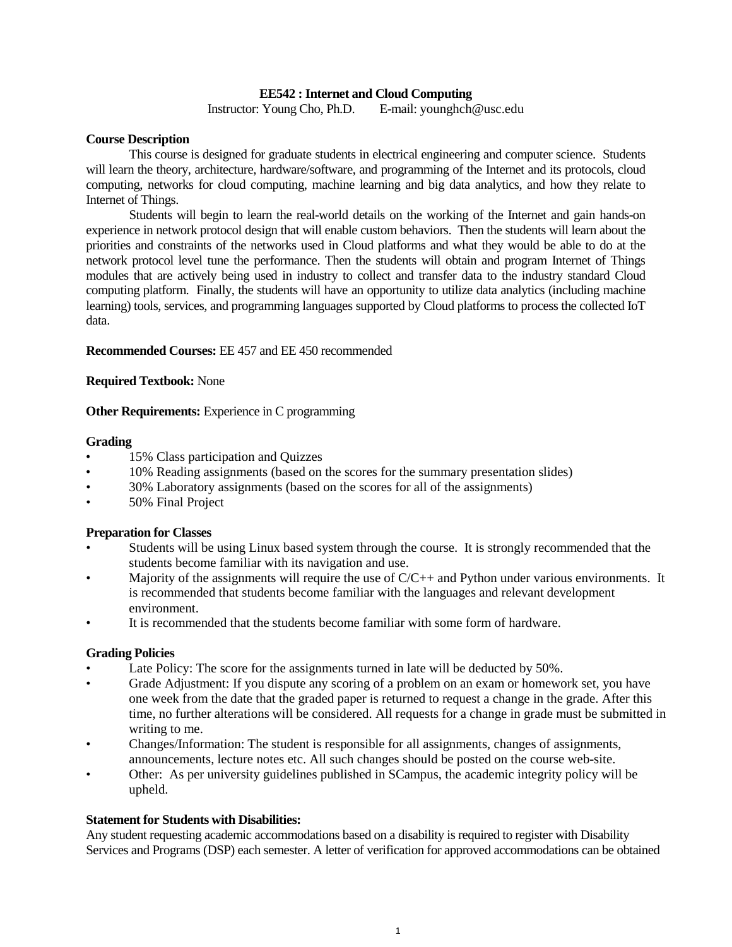## **EE542 : Internet and Cloud Computing**

Instructor: Young Cho, Ph.D. E-mail: younghch@usc.edu

### **Course Description**

This course is designed for graduate students in electrical engineering and computer science. Students will learn the theory, architecture, hardware/software, and programming of the Internet and its protocols, cloud computing, networks for cloud computing, machine learning and big data analytics, and how they relate to Internet of Things.

Students will begin to learn the real-world details on the working of the Internet and gain hands-on experience in network protocol design that will enable custom behaviors. Then the students will learn about the priorities and constraints of the networks used in Cloud platforms and what they would be able to do at the network protocol level tune the performance. Then the students will obtain and program Internet of Things modules that are actively being used in industry to collect and transfer data to the industry standard Cloud computing platform. Finally, the students will have an opportunity to utilize data analytics (including machine learning) tools, services, and programming languages supported by Cloud platforms to process the collected IoT data.

#### **Recommended Courses:** EE 457 and EE 450 recommended

## **Required Textbook:** None

## **Other Requirements:** Experience in C programming

#### **Grading**

- 15% Class participation and Quizzes
- 10% Reading assignments (based on the scores for the summary presentation slides)
- 30% Laboratory assignments (based on the scores for all of the assignments)
- 50% Final Project

#### **Preparation for Classes**

- Students will be using Linux based system through the course. It is strongly recommended that the students become familiar with its navigation and use.
- Majority of the assignments will require the use of  $C/C++$  and Python under various environments. It is recommended that students become familiar with the languages and relevant development environment.
- It is recommended that the students become familiar with some form of hardware.

#### **Grading Policies**

- Late Policy: The score for the assignments turned in late will be deducted by 50%.
- Grade Adjustment: If you dispute any scoring of a problem on an exam or homework set, you have one week from the date that the graded paper is returned to request a change in the grade. After this time, no further alterations will be considered. All requests for a change in grade must be submitted in writing to me.
- Changes/Information: The student is responsible for all assignments, changes of assignments, announcements, lecture notes etc. All such changes should be posted on the course web-site.
- Other: As per university guidelines published in SCampus, the academic integrity policy will be upheld.

# **Statement for Students with Disabilities:**

Any student requesting academic accommodations based on a disability is required to register with Disability Services and Programs (DSP) each semester. A letter of verification for approved accommodations can be obtained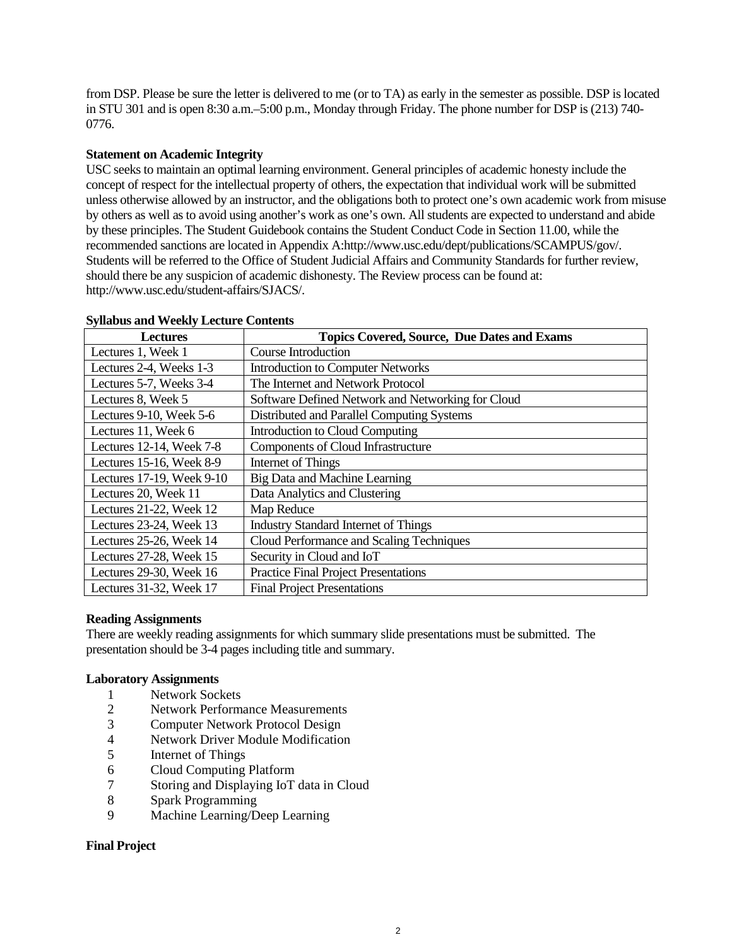from DSP. Please be sure the letter is delivered to me (or to TA) as early in the semester as possible. DSP is located in STU 301 and is open 8:30 a.m.–5:00 p.m., Monday through Friday. The phone number for DSP is (213) 740- 0776.

# **Statement on Academic Integrity**

USC seeks to maintain an optimal learning environment. General principles of academic honesty include the concept of respect for the intellectual property of others, the expectation that individual work will be submitted unless otherwise allowed by an instructor, and the obligations both to protect one's own academic work from misuse by others as well as to avoid using another's work as one's own. All students are expected to understand and abide by these principles. The Student Guidebook contains the Student Conduct Code in Section 11.00, while the recommended sanctions are located in Appendix A:http://www.usc.edu/dept/publications/SCAMPUS/gov/. Students will be referred to the Office of Student Judicial Affairs and Community Standards for further review, should there be any suspicion of academic dishonesty. The Review process can be found at: http://www.usc.edu/student-affairs/SJACS/.

| <b>Lectures</b>           | <b>Topics Covered, Source, Due Dates and Exams</b> |
|---------------------------|----------------------------------------------------|
| Lectures 1, Week 1        | Course Introduction                                |
| Lectures 2-4, Weeks 1-3   | <b>Introduction to Computer Networks</b>           |
| Lectures 5-7, Weeks 3-4   | The Internet and Network Protocol                  |
| Lectures 8, Week 5        | Software Defined Network and Networking for Cloud  |
| Lectures 9-10, Week 5-6   | Distributed and Parallel Computing Systems         |
| Lectures 11, Week 6       | Introduction to Cloud Computing                    |
| Lectures 12-14, Week 7-8  | Components of Cloud Infrastructure                 |
| Lectures 15-16, Week 8-9  | Internet of Things                                 |
| Lectures 17-19, Week 9-10 | Big Data and Machine Learning                      |
| Lectures 20, Week 11      | Data Analytics and Clustering                      |
| Lectures 21-22, Week 12   | Map Reduce                                         |
| Lectures 23-24, Week 13   | <b>Industry Standard Internet of Things</b>        |
| Lectures 25-26, Week 14   | Cloud Performance and Scaling Techniques           |
| Lectures 27-28, Week 15   | Security in Cloud and IoT                          |
| Lectures 29-30, Week 16   | <b>Practice Final Project Presentations</b>        |
| Lectures 31-32, Week 17   | <b>Final Project Presentations</b>                 |

## **Syllabus and Weekly Lecture Contents**

#### **Reading Assignments**

There are weekly reading assignments for which summary slide presentations must be submitted. The presentation should be 3-4 pages including title and summary.

#### **Laboratory Assignments**

- 1 Network Sockets
- 2 Network Performance Measurements
- 3 Computer Network Protocol Design
- 4 Network Driver Module Modification
- 5 Internet of Things
- 6 Cloud Computing Platform
- 7 Storing and Displaying IoT data in Cloud
- 8 Spark Programming
- 9 Machine Learning/Deep Learning

#### **Final Project**